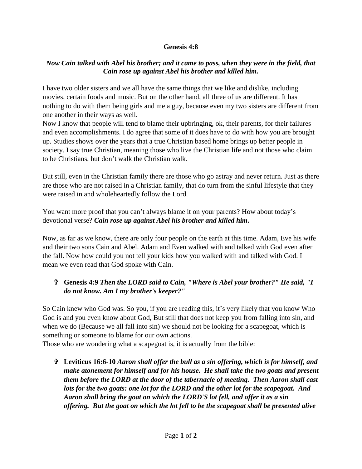## **Genesis 4:8**

## *Now Cain talked with Abel his brother; and it came to pass, when they were in the field, that Cain rose up against Abel his brother and killed him.*

I have two older sisters and we all have the same things that we like and dislike, including movies, certain foods and music. But on the other hand, all three of us are different. It has nothing to do with them being girls and me a guy, because even my two sisters are different from one another in their ways as well.

Now I know that people will tend to blame their upbringing, ok, their parents, for their failures and even accomplishments. I do agree that some of it does have to do with how you are brought up. Studies shows over the years that a true Christian based home brings up better people in society. I say true Christian, meaning those who live the Christian life and not those who claim to be Christians, but don't walk the Christian walk.

But still, even in the Christian family there are those who go astray and never return. Just as there are those who are not raised in a Christian family, that do turn from the sinful lifestyle that they were raised in and wholeheartedly follow the Lord.

You want more proof that you can't always blame it on your parents? How about today's devotional verse? *Cain rose up against Abel his brother and killed him.*

Now, as far as we know, there are only four people on the earth at this time. Adam, Eve his wife and their two sons Cain and Abel. Adam and Even walked with and talked with God even after the fall. Now how could you not tell your kids how you walked with and talked with God. I mean we even read that God spoke with Cain.

## **Genesis 4:9** *Then the LORD said to Cain, "Where is Abel your brother?" He said, "I do not know. Am I my brother's keeper?"*

So Cain knew who God was. So you, if you are reading this, it's very likely that you know Who God is and you even know about God, But still that does not keep you from falling into sin, and when we do (Because we all fall into sin) we should not be looking for a scapegoat, which is something or someone to blame for our own actions.

Those who are wondering what a scapegoat is, it is actually from the bible:

 **Leviticus 16:6-10** *Aaron shall offer the bull as a sin offering, which is for himself, and make atonement for himself and for his house. He shall take the two goats and present them before the LORD at the door of the tabernacle of meeting. Then Aaron shall cast lots for the two goats: one lot for the LORD and the other lot for the scapegoat. And Aaron shall bring the goat on which the LORD'S lot fell, and offer it as a sin offering. But the goat on which the lot fell to be the scapegoat shall be presented alive*